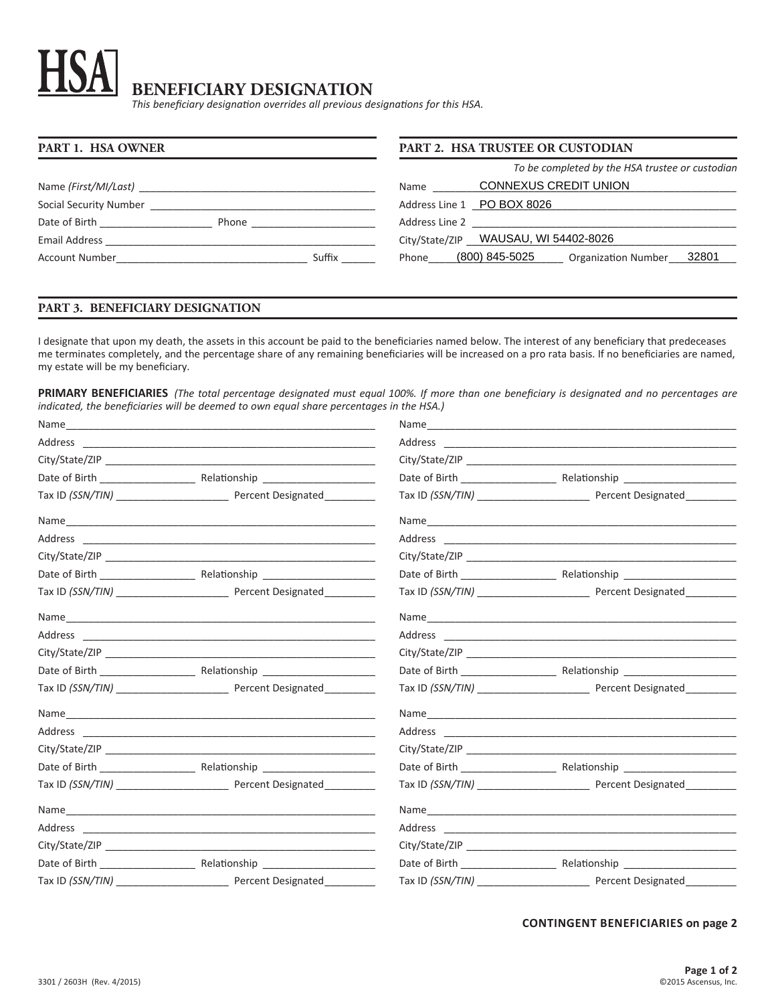# **BENEFICIARY DESIGNATION**

*This beneficiary designation overrides all previous designations for this HSA.*

| <b>PART 1. HSA OWNER</b>                  | <b>PART 2. HSA TRUSTEE OR CUSTODIAN</b>                        |  |  |
|-------------------------------------------|----------------------------------------------------------------|--|--|
|                                           | To be completed by the HSA trustee or custodian                |  |  |
| Name (First/MI/Last)                      | CONNEXUS CREDIT UNION<br>Name                                  |  |  |
| Social Security Number                    | Address Line 1 PO BOX 8026                                     |  |  |
| Date of Birth <b>Exercise 20</b><br>Phone | Address Line 2<br><u> 1980 - Jan Barat, amerikan persoa da</u> |  |  |
| Email Address                             | City/State/ZIP WAUSAU, WI 54402-8026                           |  |  |
| Suffix<br>Account Number                  | (800) 845-5025<br>32801<br>Phone<br><b>Organization Number</b> |  |  |

## **PART 3. BENEFICIARY DESIGNATION**

I designate that upon my death, the assets in this account be paid to the beneficiaries named below. The interest of any beneficiary that predeceases me terminates completely, and the percentage share of any remaining beneficiaries will be increased on a pro rata basis. If no beneficiaries are named, my estate will be my beneficiary.

**PRIMARY BENEFICIARIES** *(The total percentage designated must equal 100%. If more than one beneficiary is designated and no percentages are indicated, the beneficiaries will be deemed to own equal share percentages in the HSA.)*

| Percent Designated |  |
|--------------------|--|